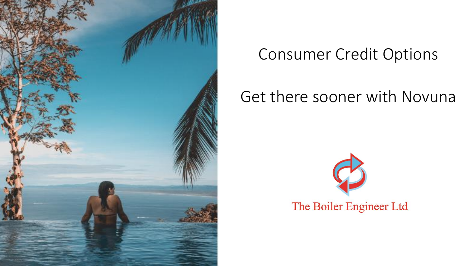

## **Consumer Credit Options**

### Get there sooner with Novuna

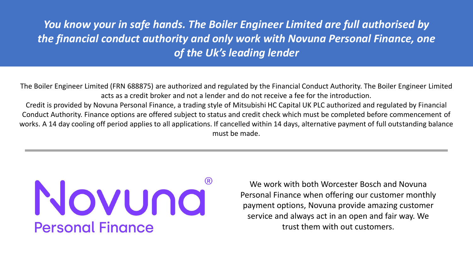### *You know your in safe hands. The Boiler Engineer Limited are full authorised by the financial conduct authority and only work with Novuna Personal Finance, one of the Uk's leading lender*

The Boiler Engineer Limited (FRN 688875) are authorized and regulated by the Financial Conduct Authority. The Boiler Engineer Limited acts as a credit broker and not a lender and do not receive a fee for the introduction.

Credit is provided by Novuna Personal Finance, a trading style of Mitsubishi HC Capital UK PLC authorized and regulated by Financial Conduct Authority. Finance options are offered subject to status and credit check which must be completed before commencement of works. A 14 day cooling off period applies to all applications. If cancelled within 14 days, alternative payment of full outstanding balance must be made.

# Novuna **Personal Finance**

We work with both Worcester Bosch and Novuna Personal Finance when offering our customer monthly payment options, Novuna provide amazing customer service and always act in an open and fair way. We trust them with out customers.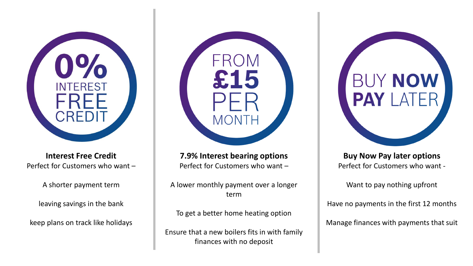

**Interest Free Credit** Perfect for Customers who want –

A shorter payment term

leaving savings in the bank

keep plans on track like holidays



**7.9% Interest bearing options**  Perfect for Customers who want –

A lower monthly payment over a longer term

To get a better home heating option

Ensure that a new boilers fits in with family finances with no deposit

**Buy Now Pay later options**  Perfect for Customers who want -

**BUY NOW** 

**PAY LAT** 

Want to pay nothing upfront

Have no payments in the first 12 months

Manage finances with payments that suit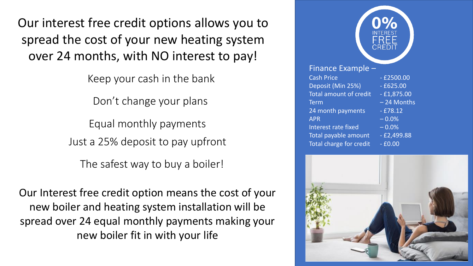Our interest free credit options allows you to spread the cost of your new heating system over 24 months, with NO interest to pay!

Keep your cash in the bank

Don't change your plans

Equal monthly payments Just a 25% deposit to pay upfront

The safest way to buy a boiler!

Our Interest free credit option means the cost of your new boiler and heating system installation will be spread over 24 equal monthly payments making your new boiler fit in with your life

|                               | <u>IN</u> TEREST<br>FREE<br>CREDIT |
|-------------------------------|------------------------------------|
| Finance Example -             |                                    |
| <b>Cash Price</b>             | $-£2500.00$                        |
| Deposit (Min 25%)             | $-£625.00$                         |
| <b>Total amount of credit</b> | $-£1,875.00$                       |
| <b>Term</b>                   | -24 Months                         |
| 24 month payments             | $-£78.12$                          |
| <b>APR</b>                    | $-0.0%$                            |
| <b>Interest rate fixed</b>    | $-0.0%$                            |
| Total payable amount          | $-E2,499.88$                       |
| Total charge for credit       | $-£0.00$                           |

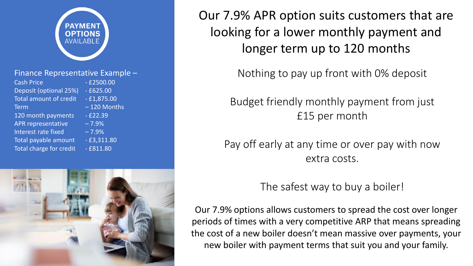

#### Finance Representative Example –

| <b>Cash Price</b>             | $-£2500.00$   |
|-------------------------------|---------------|
| Deposit (optional 25%)        | $-£625.00$    |
| <b>Total amount of credit</b> | $-£1,875.00$  |
| <b>Term</b>                   | $-120$ Months |
| 120 month payments            | $-E22.39$     |
| <b>APR representative</b>     | $-7.9%$       |
| Interest rate fixed           | $-7.9%$       |
| Total payable amount          | $-£3,311.80$  |
| Total charge for credit       | $-£811.80$    |
|                               |               |



Our 7.9% APR option suits customers that are looking for a lower monthly payment and longer term up to 120 months

Nothing to pay up front with 0% deposit

Budget friendly monthly payment from just £15 per month

Pay off early at any time or over pay with now extra costs.

### The safest way to buy a boiler!

Our 7.9% options allows customers to spread the cost over longer periods of times with a very competitive ARP that means spreading the cost of a new boiler doesn't mean massive over payments, your new boiler with payment terms that suit you and your family.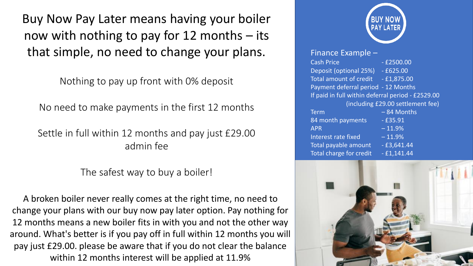Buy Now Pay Later means having your boiler now with nothing to pay for 12 months – its that simple, no need to change your plans.

Nothing to pay up front with 0% deposit

No need to make payments in the first 12 months

Settle in full within 12 months and pay just £29.00 admin fee

The safest way to buy a boiler!

A broken boiler never really comes at the right time, no need to change your plans with our buy now pay later option. Pay nothing for 12 months means a new boiler fits in with you and not the other way around. What's better is if you pay off in full within 12 months you will pay just £29.00. please be aware that if you do not clear the balance within 12 months interest will be applied at 11.9%



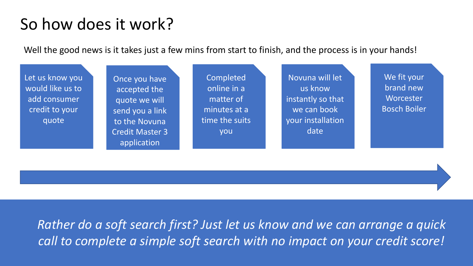## So how does it work?

Well the good news is it takes just a few mins from start to finish, and the process is in your hands!



*Rather do a soft search first? Just let us know and we can arrange a quick call to complete a simple soft search with no impact on your credit score!*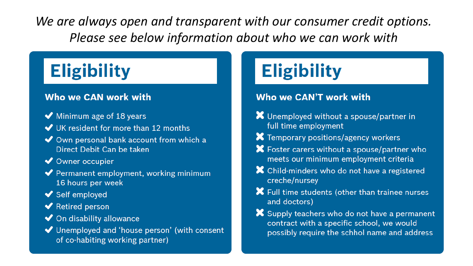We are always open and transparent with our consumer credit options. Please see below information about who we can work with

## **Eligibility**

### Who we CAN work with

- $\blacktriangleright$  Minimum age of 18 years
- ◆ UK resident for more than 12 months
- ◆ Own personal bank account from which a Direct Debit Can be taken
- ◆ Owner occupier
- ◆ Permanent employment, working minimum 16 hours per week
- ◆ Self employed
- ◆ Retired person
- ◆ On disability allowance
- ◆ Unemployed and 'house person' (with consent of co-habiting working partner)

## **Eligibility**

### Who we CAN'T work with

- X Unemployed without a spouse/partner in full time employment
- X Temporary positions/agency workers
- X Foster carers without a spouse/partner who meets our minimum employment criteria
- X Child-minders who do not have a registered creche/nursey
- X Full time students (other than trainee nurses and doctors)
- Supply teachers who do not have a permanent contract with a specific school, we would possibly require the schhol name and address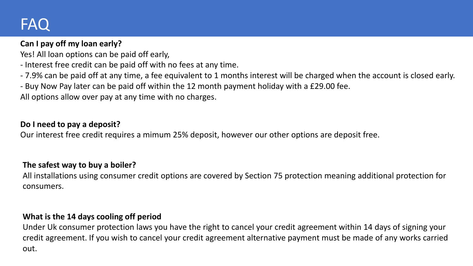### FAQ

### **Can I pay off my loan early?**

Yes! All loan options can be paid off early,

- Interest free credit can be paid off with no fees at any time.
- 7.9% can be paid off at any time, a fee equivalent to 1 months interest will be charged when the account is closed early.
- Buy Now Pay later can be paid off within the 12 month payment holiday with a £29.00 fee.

All options allow over pay at any time with no charges.

### **Do I need to pay a deposit?**

Our interest free credit requires a mimum 25% deposit, however our other options are deposit free.

#### **The safest way to buy a boiler?**

All installations using consumer credit options are covered by Section 75 protection meaning additional protection for consumers.

### **What is the 14 days cooling off period**

Under Uk consumer protection laws you have the right to cancel your credit agreement within 14 days of signing your credit agreement. If you wish to cancel your credit agreement alternative payment must be made of any works carried out.